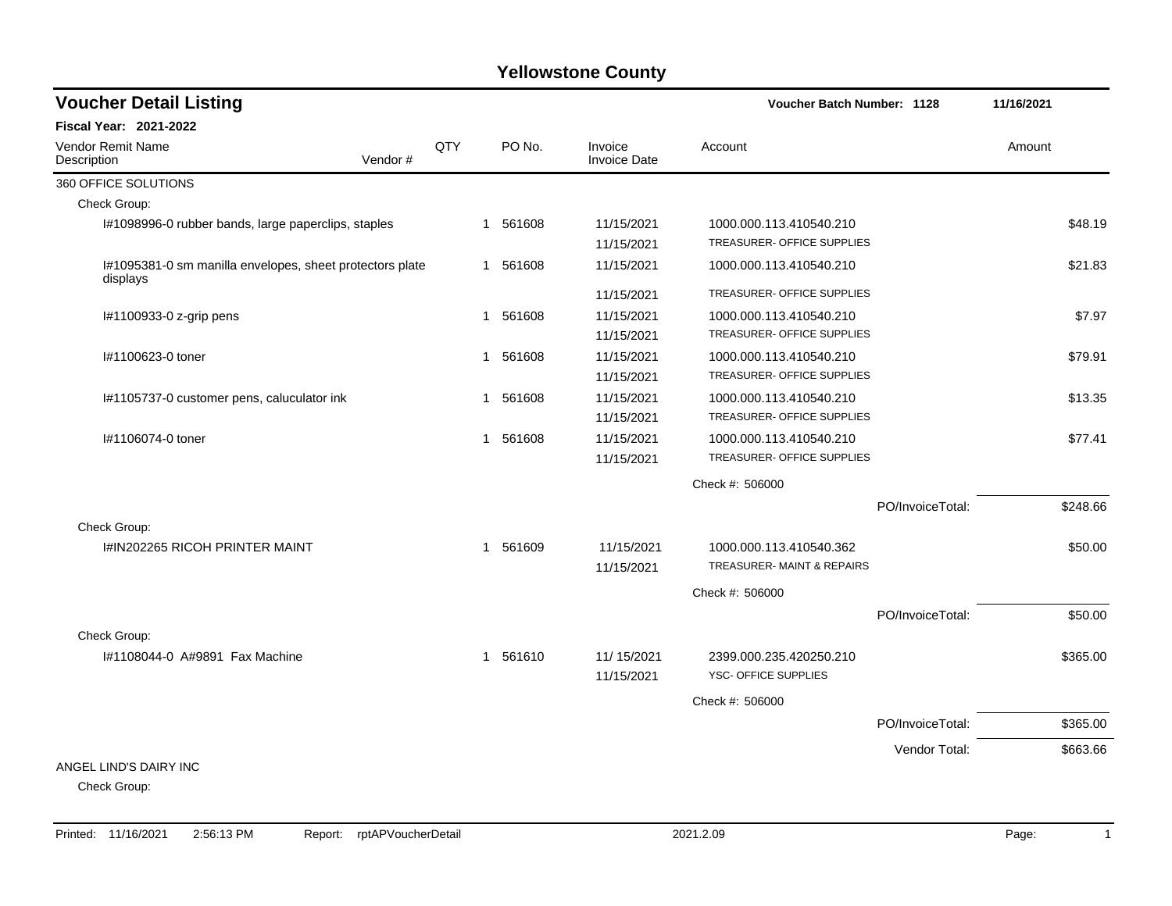| <b>Voucher Detail Listing</b>                                        |     |              |          |                         | <b>Voucher Batch Number: 1128</b> |                  | 11/16/2021 |          |
|----------------------------------------------------------------------|-----|--------------|----------|-------------------------|-----------------------------------|------------------|------------|----------|
| Fiscal Year: 2021-2022                                               |     |              |          |                         |                                   |                  |            |          |
| Vendor Remit Name<br>Vendor#<br>Description                          | QTY |              | PO No.   | Invoice<br>Invoice Date | Account                           |                  | Amount     |          |
| 360 OFFICE SOLUTIONS                                                 |     |              |          |                         |                                   |                  |            |          |
| Check Group:                                                         |     |              |          |                         |                                   |                  |            |          |
| I#1098996-0 rubber bands, large paperclips, staples                  |     | $\mathbf{1}$ | 561608   | 11/15/2021              | 1000.000.113.410540.210           |                  |            | \$48.19  |
|                                                                      |     |              |          | 11/15/2021              | TREASURER- OFFICE SUPPLIES        |                  |            |          |
| I#1095381-0 sm manilla envelopes, sheet protectors plate<br>displays |     |              | 1 561608 | 11/15/2021              | 1000.000.113.410540.210           |                  |            | \$21.83  |
|                                                                      |     |              |          | 11/15/2021              | TREASURER- OFFICE SUPPLIES        |                  |            |          |
| I#1100933-0 z-grip pens                                              |     | 1            | 561608   | 11/15/2021              | 1000.000.113.410540.210           |                  |            | \$7.97   |
|                                                                      |     |              |          | 11/15/2021              | TREASURER- OFFICE SUPPLIES        |                  |            |          |
| I#1100623-0 toner                                                    |     | 1            | 561608   | 11/15/2021              | 1000.000.113.410540.210           |                  |            | \$79.91  |
|                                                                      |     |              |          | 11/15/2021              | TREASURER- OFFICE SUPPLIES        |                  |            |          |
| I#1105737-0 customer pens, caluculator ink                           |     |              | 1 561608 | 11/15/2021              | 1000.000.113.410540.210           |                  |            | \$13.35  |
|                                                                      |     |              |          | 11/15/2021              | TREASURER- OFFICE SUPPLIES        |                  |            |          |
| I#1106074-0 toner                                                    |     | 1            | 561608   | 11/15/2021              | 1000.000.113.410540.210           |                  |            | \$77.41  |
|                                                                      |     |              |          | 11/15/2021              | TREASURER- OFFICE SUPPLIES        |                  |            |          |
|                                                                      |     |              |          |                         | Check #: 506000                   |                  |            |          |
|                                                                      |     |              |          |                         |                                   | PO/InvoiceTotal: |            | \$248.66 |
| Check Group:                                                         |     |              |          |                         |                                   |                  |            |          |
| <b>I#IN202265 RICOH PRINTER MAINT</b>                                |     |              | 1 561609 | 11/15/2021              | 1000.000.113.410540.362           |                  |            | \$50.00  |
|                                                                      |     |              |          | 11/15/2021              | TREASURER- MAINT & REPAIRS        |                  |            |          |
|                                                                      |     |              |          |                         | Check #: 506000                   |                  |            |          |
|                                                                      |     |              |          |                         |                                   | PO/InvoiceTotal: |            | \$50.00  |
| Check Group:                                                         |     |              |          |                         |                                   |                  |            |          |
| 1#1108044-0 A#9891 Fax Machine                                       |     |              | 1 561610 | 11/ 15/2021             | 2399.000.235.420250.210           |                  |            | \$365.00 |
|                                                                      |     |              |          | 11/15/2021              | YSC- OFFICE SUPPLIES              |                  |            |          |
|                                                                      |     |              |          |                         | Check #: 506000                   |                  |            |          |
|                                                                      |     |              |          |                         |                                   | PO/InvoiceTotal: |            | \$365.00 |
|                                                                      |     |              |          |                         |                                   | Vendor Total:    |            | \$663.66 |
| ANGEL LIND'S DAIRY INC                                               |     |              |          |                         |                                   |                  |            |          |
| Check Group:                                                         |     |              |          |                         |                                   |                  |            |          |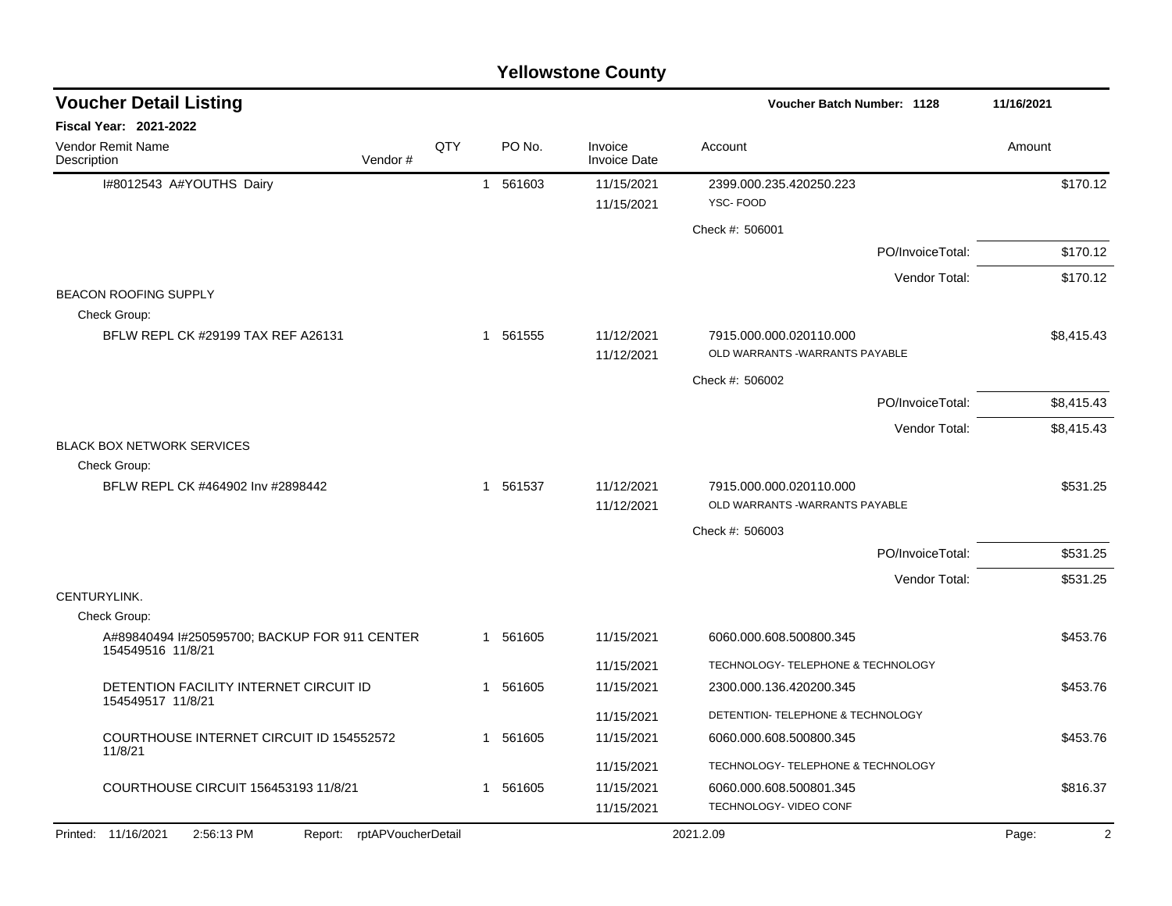| <b>Yellowstone County</b>                                          |         |              |             |                                |                                                           |                  |            |  |  |
|--------------------------------------------------------------------|---------|--------------|-------------|--------------------------------|-----------------------------------------------------------|------------------|------------|--|--|
| <b>Voucher Detail Listing</b>                                      |         |              |             |                                | Voucher Batch Number: 1128                                |                  | 11/16/2021 |  |  |
| Fiscal Year: 2021-2022                                             |         |              |             |                                |                                                           |                  |            |  |  |
| Vendor Remit Name<br>Description                                   | Vendor# | QTY          | PO No.      | Invoice<br><b>Invoice Date</b> | Account                                                   |                  | Amount     |  |  |
| I#8012543 A#YOUTHS Dairy                                           |         | $\mathbf{1}$ | 561603      | 11/15/2021                     | 2399.000.235.420250.223                                   |                  | \$170.12   |  |  |
|                                                                    |         |              |             | 11/15/2021                     | YSC-FOOD                                                  |                  |            |  |  |
|                                                                    |         |              |             |                                | Check #: 506001                                           |                  |            |  |  |
|                                                                    |         |              |             |                                |                                                           | PO/InvoiceTotal: | \$170.12   |  |  |
|                                                                    |         |              |             |                                |                                                           | Vendor Total:    | \$170.12   |  |  |
| <b>BEACON ROOFING SUPPLY</b>                                       |         |              |             |                                |                                                           |                  |            |  |  |
| Check Group:                                                       |         |              |             | 11/12/2021                     |                                                           |                  |            |  |  |
| BFLW REPL CK #29199 TAX REF A26131                                 |         |              | 561555<br>1 | 11/12/2021                     | 7915.000.000.020110.000<br>OLD WARRANTS -WARRANTS PAYABLE |                  | \$8,415.43 |  |  |
|                                                                    |         |              |             |                                | Check #: 506002                                           |                  |            |  |  |
|                                                                    |         |              |             |                                |                                                           | PO/InvoiceTotal: | \$8,415.43 |  |  |
|                                                                    |         |              |             |                                |                                                           | Vendor Total:    | \$8,415.43 |  |  |
| <b>BLACK BOX NETWORK SERVICES</b>                                  |         |              |             |                                |                                                           |                  |            |  |  |
| Check Group:                                                       |         |              |             |                                |                                                           |                  |            |  |  |
| BFLW REPL CK #464902 Inv #2898442                                  |         | -1           | 561537      | 11/12/2021<br>11/12/2021       | 7915.000.000.020110.000<br>OLD WARRANTS -WARRANTS PAYABLE |                  | \$531.25   |  |  |
|                                                                    |         |              |             |                                | Check #: 506003                                           |                  |            |  |  |
|                                                                    |         |              |             |                                |                                                           | PO/InvoiceTotal: | \$531.25   |  |  |
|                                                                    |         |              |             |                                |                                                           | Vendor Total:    | \$531.25   |  |  |
| CENTURYLINK.                                                       |         |              |             |                                |                                                           |                  |            |  |  |
| Check Group:                                                       |         |              |             |                                |                                                           |                  |            |  |  |
| A#89840494 I#250595700; BACKUP FOR 911 CENTER<br>154549516 11/8/21 |         |              | 561605<br>1 | 11/15/2021                     | 6060.000.608.500800.345                                   |                  | \$453.76   |  |  |
|                                                                    |         |              |             | 11/15/2021                     | TECHNOLOGY- TELEPHONE & TECHNOLOGY                        |                  |            |  |  |
| DETENTION FACILITY INTERNET CIRCUIT ID<br>154549517 11/8/21        |         | 1            | 561605      | 11/15/2021                     | 2300.000.136.420200.345                                   |                  | \$453.76   |  |  |
|                                                                    |         |              |             | 11/15/2021                     | DETENTION- TELEPHONE & TECHNOLOGY                         |                  |            |  |  |
| COURTHOUSE INTERNET CIRCUIT ID 154552572<br>11/8/21                |         |              | 1 561605    | 11/15/2021                     | 6060.000.608.500800.345                                   |                  | \$453.76   |  |  |
|                                                                    |         |              |             | 11/15/2021                     | TECHNOLOGY- TELEPHONE & TECHNOLOGY                        |                  |            |  |  |
| COURTHOUSE CIRCUIT 156453193 11/8/21                               |         |              | 1 561605    | 11/15/2021                     | 6060.000.608.500801.345                                   |                  | \$816.37   |  |  |
|                                                                    |         |              |             | 11/15/2021                     | TECHNOLOGY- VIDEO CONF                                    |                  |            |  |  |
| 2:56:13 PM<br>Printed: 11/16/2021<br>Report: rptAPVoucherDetail    |         |              |             |                                | 2021.2.09                                                 |                  | Page:<br>2 |  |  |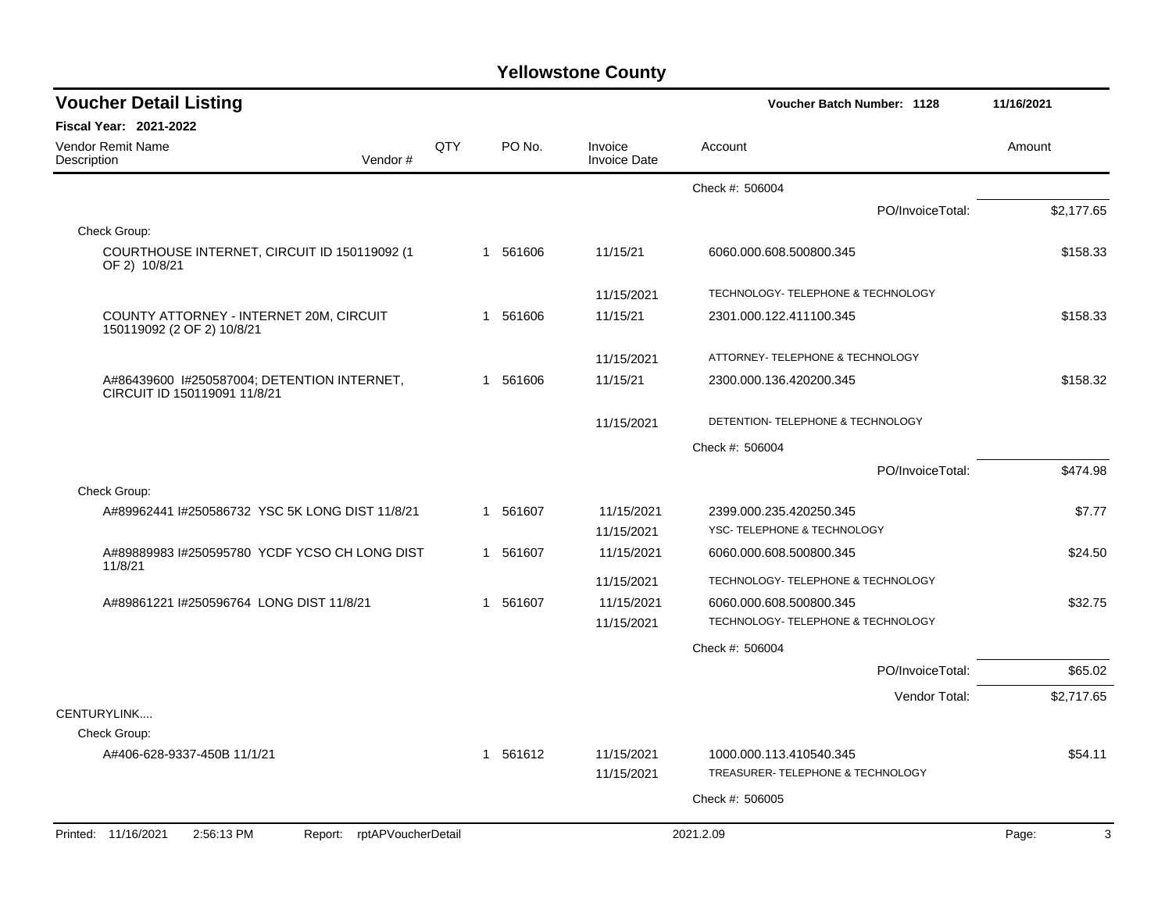| <b>Voucher Detail Listing</b>                                               |            |             |                                | Voucher Batch Number: 1128         | 11/16/2021 |
|-----------------------------------------------------------------------------|------------|-------------|--------------------------------|------------------------------------|------------|
| <b>Fiscal Year: 2021-2022</b>                                               |            |             |                                |                                    |            |
| Vendor Remit Name<br>Vendor#<br>Description                                 | <b>QTY</b> | PO No.      | Invoice<br><b>Invoice Date</b> | Account                            | Amount     |
|                                                                             |            |             |                                | Check #: 506004                    |            |
|                                                                             |            |             |                                | PO/InvoiceTotal:                   | \$2.177.65 |
| Check Group:                                                                |            |             |                                |                                    |            |
| COURTHOUSE INTERNET, CIRCUIT ID 150119092 (1<br>OF 2) 10/8/21               |            | 1 561606    | 11/15/21                       | 6060.000.608.500800.345            | \$158.33   |
|                                                                             |            |             | 11/15/2021                     | TECHNOLOGY- TELEPHONE & TECHNOLOGY |            |
| COUNTY ATTORNEY - INTERNET 20M, CIRCUIT<br>150119092 (2 OF 2) 10/8/21       |            | 1 561606    | 11/15/21                       | 2301.000.122.411100.345            | \$158.33   |
|                                                                             |            |             | 11/15/2021                     | ATTORNEY- TELEPHONE & TECHNOLOGY   |            |
| A#86439600 1#250587004; DETENTION INTERNET,<br>CIRCUIT ID 150119091 11/8/21 |            | 1 561606    | 11/15/21                       | 2300.000.136.420200.345            | \$158.32   |
|                                                                             |            |             | 11/15/2021                     | DETENTION- TELEPHONE & TECHNOLOGY  |            |
|                                                                             |            |             |                                | Check #: 506004                    |            |
|                                                                             |            |             |                                | PO/InvoiceTotal:                   | \$474.98   |
| Check Group:                                                                |            |             |                                |                                    |            |
| A#89962441 I#250586732 YSC 5K LONG DIST 11/8/21                             |            | 561607<br>1 | 11/15/2021                     | 2399.000.235.420250.345            | \$7.77     |
|                                                                             |            |             | 11/15/2021                     | YSC- TELEPHONE & TECHNOLOGY        |            |
| A#89889983 I#250595780 YCDF YCSO CH LONG DIST<br>11/8/21                    |            | 1 561607    | 11/15/2021                     | 6060.000.608.500800.345            | \$24.50    |
|                                                                             |            |             | 11/15/2021                     | TECHNOLOGY- TELEPHONE & TECHNOLOGY |            |
| A#89861221 I#250596764 LONG DIST 11/8/21                                    |            | 561607<br>1 | 11/15/2021                     | 6060.000.608.500800.345            | \$32.75    |
|                                                                             |            |             | 11/15/2021                     | TECHNOLOGY- TELEPHONE & TECHNOLOGY |            |
|                                                                             |            |             |                                | Check #: 506004                    |            |
|                                                                             |            |             |                                | PO/InvoiceTotal:                   | \$65.02    |
|                                                                             |            |             |                                | Vendor Total:                      | \$2,717.65 |
| CENTURYLINK                                                                 |            |             |                                |                                    |            |
| Check Group:                                                                |            |             |                                |                                    |            |
| A#406-628-9337-450B 11/1/21                                                 |            | 561612<br>1 | 11/15/2021                     | 1000.000.113.410540.345            | \$54.11    |
|                                                                             |            |             | 11/15/2021                     | TREASURER- TELEPHONE & TECHNOLOGY  |            |
|                                                                             |            |             |                                | Check #: 506005                    |            |
| Printed: 11/16/2021<br>2:56:13 PM<br>Report: rptAPVoucherDetail             |            |             |                                | 2021.2.09                          | 3<br>Page: |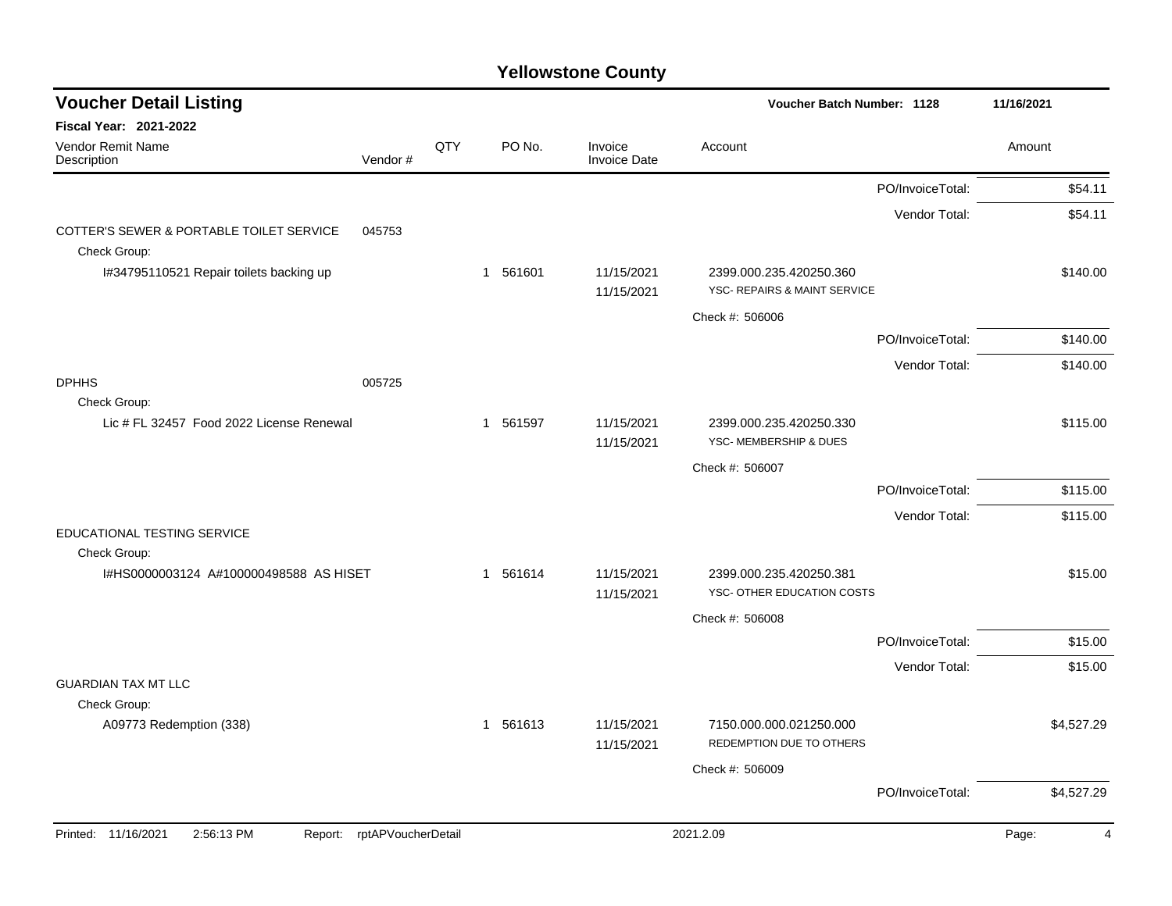| <b>Voucher Detail Listing</b>                            |                    |     |          |                                | Voucher Batch Number: 1128                                         |                  | 11/16/2021 |
|----------------------------------------------------------|--------------------|-----|----------|--------------------------------|--------------------------------------------------------------------|------------------|------------|
| <b>Fiscal Year: 2021-2022</b>                            |                    |     |          |                                |                                                                    |                  |            |
| Vendor Remit Name<br>Description                         | Vendor#            | QTY | PO No.   | Invoice<br><b>Invoice Date</b> | Account                                                            |                  | Amount     |
|                                                          |                    |     |          |                                |                                                                    | PO/InvoiceTotal: | \$54.11    |
|                                                          |                    |     |          |                                |                                                                    | Vendor Total:    | \$54.11    |
| COTTER'S SEWER & PORTABLE TOILET SERVICE<br>Check Group: | 045753             |     |          |                                |                                                                    |                  |            |
| I#34795110521 Repair toilets backing up                  |                    |     | 1 561601 | 11/15/2021<br>11/15/2021       | 2399.000.235.420250.360<br><b>YSC- REPAIRS &amp; MAINT SERVICE</b> |                  | \$140.00   |
|                                                          |                    |     |          |                                | Check #: 506006                                                    |                  |            |
|                                                          |                    |     |          |                                |                                                                    | PO/InvoiceTotal: | \$140.00   |
|                                                          |                    |     |          |                                |                                                                    | Vendor Total:    | \$140.00   |
| <b>DPHHS</b><br>Check Group:                             | 005725             |     |          |                                |                                                                    |                  |            |
| Lic # FL 32457 Food 2022 License Renewal                 |                    |     | 1 561597 | 11/15/2021<br>11/15/2021       | 2399.000.235.420250.330<br>YSC- MEMBERSHIP & DUES                  |                  | \$115.00   |
|                                                          |                    |     |          |                                | Check #: 506007                                                    |                  |            |
|                                                          |                    |     |          |                                |                                                                    | PO/InvoiceTotal: | \$115.00   |
|                                                          |                    |     |          |                                |                                                                    | Vendor Total:    | \$115.00   |
| EDUCATIONAL TESTING SERVICE<br>Check Group:              |                    |     |          |                                |                                                                    |                  |            |
| I#HS0000003124 A#100000498588 AS HISET                   |                    |     | 1 561614 | 11/15/2021<br>11/15/2021       | 2399.000.235.420250.381<br>YSC- OTHER EDUCATION COSTS              |                  | \$15.00    |
|                                                          |                    |     |          |                                | Check #: 506008                                                    |                  |            |
|                                                          |                    |     |          |                                |                                                                    | PO/InvoiceTotal: | \$15.00    |
|                                                          |                    |     |          |                                |                                                                    | Vendor Total:    | \$15.00    |
| <b>GUARDIAN TAX MT LLC</b>                               |                    |     |          |                                |                                                                    |                  |            |
| Check Group:<br>A09773 Redemption (338)                  |                    |     | 1 561613 | 11/15/2021                     | 7150.000.000.021250.000                                            |                  | \$4,527.29 |
|                                                          |                    |     |          | 11/15/2021                     | REDEMPTION DUE TO OTHERS                                           |                  |            |
|                                                          |                    |     |          |                                | Check #: 506009                                                    | PO/InvoiceTotal: | \$4,527.29 |
|                                                          |                    |     |          |                                |                                                                    |                  |            |
| 2:56:13 PM<br>Printed: 11/16/2021<br>Report:             | rptAPVoucherDetail |     |          |                                | 2021.2.09                                                          |                  | Page:<br>4 |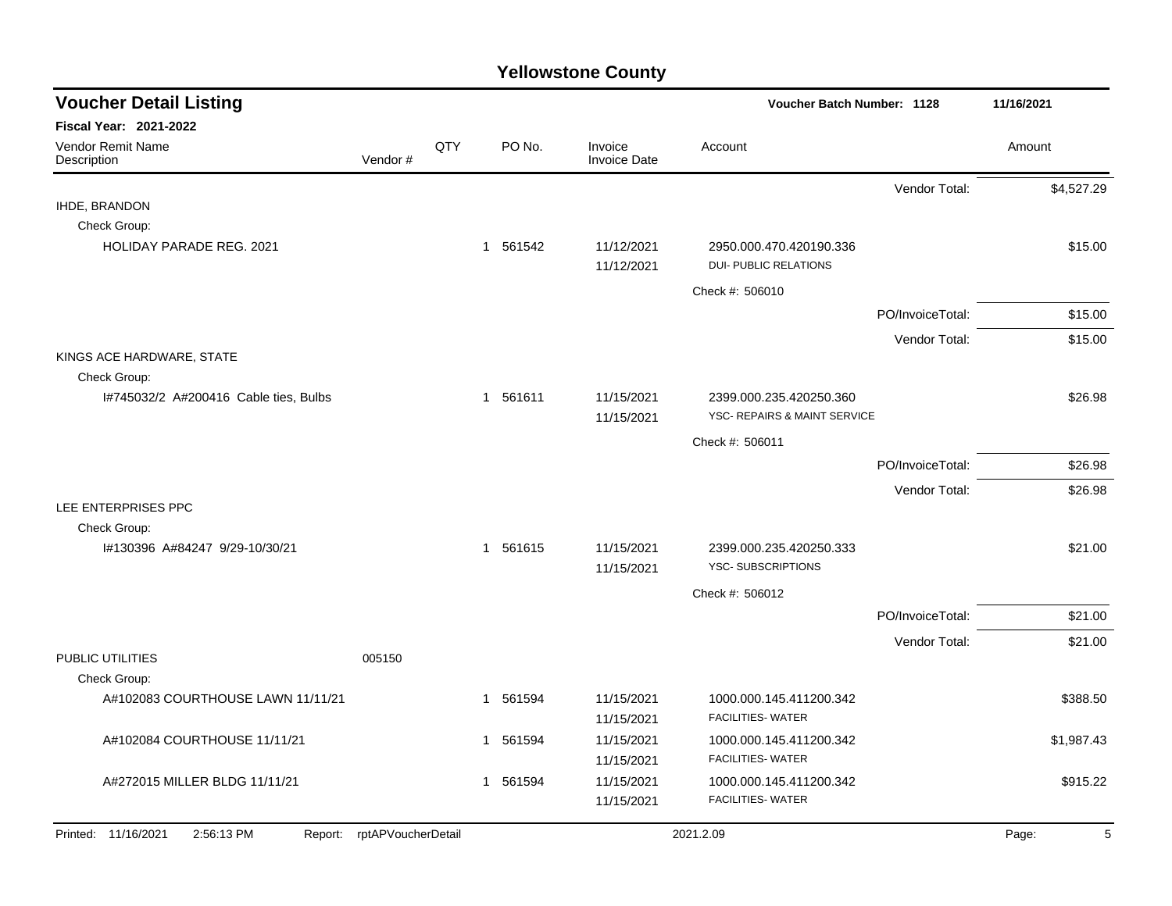| <b>Voucher Detail Listing</b>         |                            |     |                       |                                |                                                         | Voucher Batch Number: 1128 |            |  |  |
|---------------------------------------|----------------------------|-----|-----------------------|--------------------------------|---------------------------------------------------------|----------------------------|------------|--|--|
| Fiscal Year: 2021-2022                |                            |     |                       |                                |                                                         |                            |            |  |  |
| Vendor Remit Name<br>Description      | Vendor#                    | QTY | PO No.                | Invoice<br><b>Invoice Date</b> | Account                                                 |                            | Amount     |  |  |
|                                       |                            |     |                       |                                |                                                         | Vendor Total:              | \$4,527.29 |  |  |
| IHDE, BRANDON                         |                            |     |                       |                                |                                                         |                            |            |  |  |
| Check Group:                          |                            |     |                       |                                |                                                         |                            |            |  |  |
| <b>HOLIDAY PARADE REG. 2021</b>       |                            |     | 1 561542              | 11/12/2021<br>11/12/2021       | 2950.000.470.420190.336<br><b>DUI- PUBLIC RELATIONS</b> |                            | \$15.00    |  |  |
|                                       |                            |     |                       |                                | Check #: 506010                                         |                            |            |  |  |
|                                       |                            |     |                       |                                |                                                         | PO/InvoiceTotal:           | \$15.00    |  |  |
|                                       |                            |     |                       |                                |                                                         | Vendor Total:              | \$15.00    |  |  |
| KINGS ACE HARDWARE, STATE             |                            |     |                       |                                |                                                         |                            |            |  |  |
| Check Group:                          |                            |     |                       |                                |                                                         |                            |            |  |  |
| I#745032/2 A#200416 Cable ties, Bulbs |                            |     | 1 561611              | 11/15/2021                     | 2399.000.235.420250.360                                 |                            | \$26.98    |  |  |
|                                       |                            |     |                       | 11/15/2021                     | YSC- REPAIRS & MAINT SERVICE                            |                            |            |  |  |
|                                       |                            |     |                       |                                | Check #: 506011                                         |                            |            |  |  |
|                                       |                            |     |                       |                                |                                                         | PO/InvoiceTotal:           | \$26.98    |  |  |
|                                       |                            |     |                       |                                |                                                         | Vendor Total:              | \$26.98    |  |  |
| LEE ENTERPRISES PPC                   |                            |     |                       |                                |                                                         |                            |            |  |  |
| Check Group:                          |                            |     |                       |                                |                                                         |                            |            |  |  |
| I#130396 A#84247 9/29-10/30/21        |                            |     | 1 561615              | 11/15/2021<br>11/15/2021       | 2399.000.235.420250.333<br><b>YSC-SUBSCRIPTIONS</b>     |                            | \$21.00    |  |  |
|                                       |                            |     |                       |                                | Check #: 506012                                         |                            |            |  |  |
|                                       |                            |     |                       |                                |                                                         | PO/InvoiceTotal:           | \$21.00    |  |  |
|                                       |                            |     |                       |                                |                                                         | Vendor Total:              | \$21.00    |  |  |
| PUBLIC UTILITIES                      | 005150                     |     |                       |                                |                                                         |                            |            |  |  |
| Check Group:                          |                            |     |                       |                                |                                                         |                            |            |  |  |
| A#102083 COURTHOUSE LAWN 11/11/21     |                            |     | 1 561594              | 11/15/2021                     | 1000.000.145.411200.342                                 |                            | \$388.50   |  |  |
|                                       |                            |     |                       | 11/15/2021                     | <b>FACILITIES- WATER</b>                                |                            |            |  |  |
| A#102084 COURTHOUSE 11/11/21          |                            |     | 561594<br>1           | 11/15/2021                     | 1000.000.145.411200.342                                 |                            | \$1,987.43 |  |  |
|                                       |                            |     |                       | 11/15/2021                     | <b>FACILITIES- WATER</b>                                |                            |            |  |  |
| A#272015 MILLER BLDG 11/11/21         |                            |     | 561594<br>$\mathbf 1$ | 11/15/2021                     | 1000.000.145.411200.342                                 |                            | \$915.22   |  |  |
|                                       |                            |     |                       | 11/15/2021                     | <b>FACILITIES- WATER</b>                                |                            |            |  |  |
| Printed: 11/16/2021<br>2:56:13 PM     | Report: rptAPVoucherDetail |     |                       |                                | 2021.2.09                                               |                            | Page:<br>5 |  |  |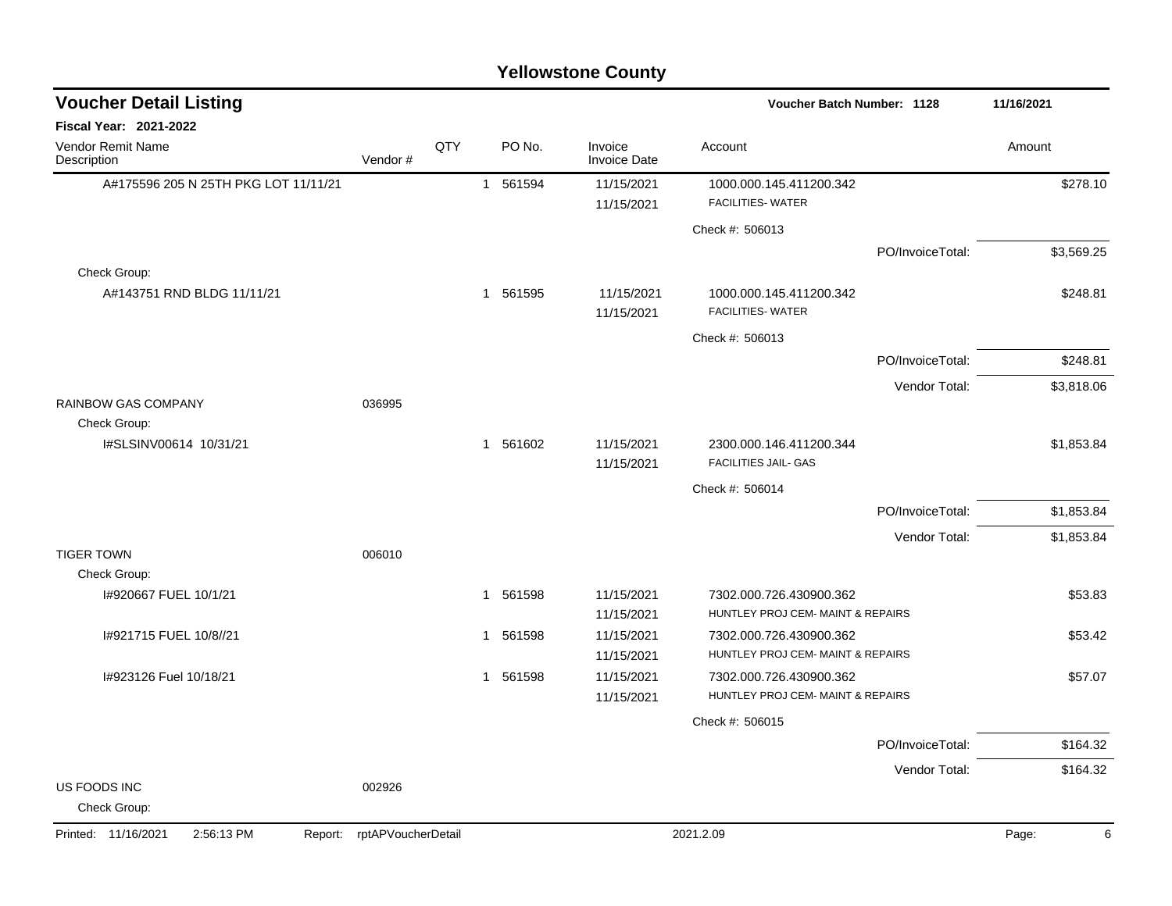| <b>Voucher Detail Listing</b>                | Voucher Batch Number: 1128 |     | 11/16/2021 |                                |                                                        |                  |            |
|----------------------------------------------|----------------------------|-----|------------|--------------------------------|--------------------------------------------------------|------------------|------------|
| Fiscal Year: 2021-2022                       |                            |     |            |                                |                                                        |                  |            |
| Vendor Remit Name<br>Description             | Vendor#                    | QTY | PO No.     | Invoice<br><b>Invoice Date</b> | Account                                                |                  | Amount     |
| A#175596 205 N 25TH PKG LOT 11/11/21         |                            |     | 1 561594   | 11/15/2021                     | 1000.000.145.411200.342                                |                  | \$278.10   |
|                                              |                            |     |            | 11/15/2021                     | <b>FACILITIES- WATER</b>                               |                  |            |
|                                              |                            |     |            |                                | Check #: 506013                                        |                  |            |
|                                              |                            |     |            |                                |                                                        | PO/InvoiceTotal: | \$3,569.25 |
| Check Group:                                 |                            |     |            |                                |                                                        |                  |            |
| A#143751 RND BLDG 11/11/21                   |                            |     | 1 561595   | 11/15/2021<br>11/15/2021       | 1000.000.145.411200.342<br><b>FACILITIES- WATER</b>    |                  | \$248.81   |
|                                              |                            |     |            |                                | Check #: 506013                                        |                  |            |
|                                              |                            |     |            |                                |                                                        | PO/InvoiceTotal: | \$248.81   |
|                                              |                            |     |            |                                |                                                        | Vendor Total:    | \$3,818.06 |
| <b>RAINBOW GAS COMPANY</b>                   | 036995                     |     |            |                                |                                                        |                  |            |
| Check Group:                                 |                            |     |            |                                |                                                        |                  |            |
| I#SLSINV00614 10/31/21                       |                            |     | 1 561602   | 11/15/2021<br>11/15/2021       | 2300.000.146.411200.344<br><b>FACILITIES JAIL- GAS</b> |                  | \$1,853.84 |
|                                              |                            |     |            |                                | Check #: 506014                                        |                  |            |
|                                              |                            |     |            |                                |                                                        | PO/InvoiceTotal: | \$1,853.84 |
|                                              |                            |     |            |                                |                                                        | Vendor Total:    | \$1,853.84 |
| <b>TIGER TOWN</b>                            | 006010                     |     |            |                                |                                                        |                  |            |
| Check Group:                                 |                            |     |            |                                |                                                        |                  |            |
| I#920667 FUEL 10/1/21                        |                            |     | 1 561598   | 11/15/2021                     | 7302.000.726.430900.362                                |                  | \$53.83    |
|                                              |                            |     |            | 11/15/2021                     | HUNTLEY PROJ CEM- MAINT & REPAIRS                      |                  |            |
| I#921715 FUEL 10/8//21                       |                            |     | 1 561598   | 11/15/2021                     | 7302.000.726.430900.362                                |                  | \$53.42    |
|                                              |                            |     |            | 11/15/2021                     | HUNTLEY PROJ CEM- MAINT & REPAIRS                      |                  |            |
| I#923126 Fuel 10/18/21                       |                            |     | 1 561598   | 11/15/2021                     | 7302.000.726.430900.362                                |                  | \$57.07    |
|                                              |                            |     |            | 11/15/2021                     | HUNTLEY PROJ CEM- MAINT & REPAIRS                      |                  |            |
|                                              |                            |     |            |                                | Check #: 506015                                        |                  |            |
|                                              |                            |     |            |                                |                                                        | PO/InvoiceTotal: | \$164.32   |
|                                              |                            |     |            |                                |                                                        | Vendor Total:    | \$164.32   |
| US FOODS INC<br>Check Group:                 | 002926                     |     |            |                                |                                                        |                  |            |
| Printed: 11/16/2021<br>2:56:13 PM<br>Report: | rptAPVoucherDetail         |     |            |                                | 2021.2.09                                              |                  | Page:<br>6 |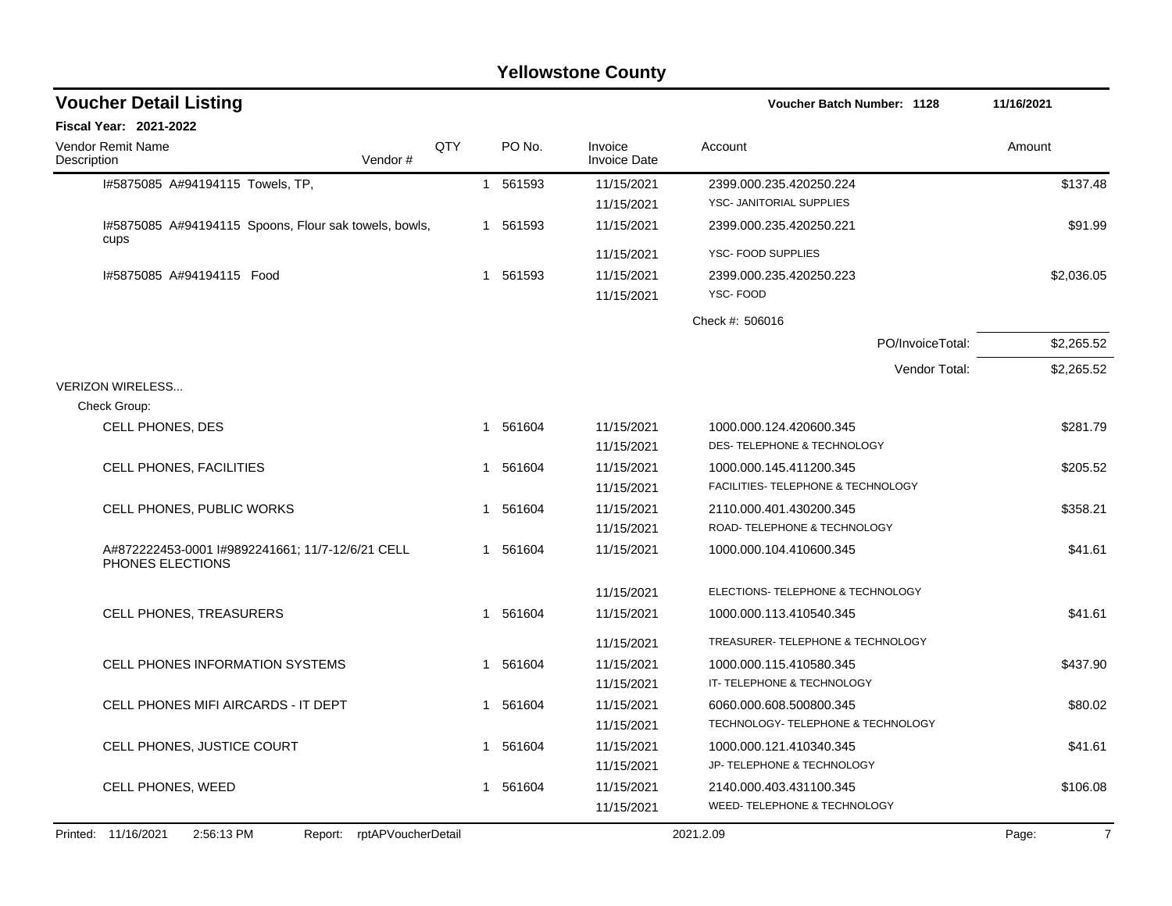| <b>Voucher Detail Listing</b>                                       |     |   |          |                                | Voucher Batch Number: 1128         |                  | 11/16/2021              |
|---------------------------------------------------------------------|-----|---|----------|--------------------------------|------------------------------------|------------------|-------------------------|
| <b>Fiscal Year: 2021-2022</b>                                       |     |   |          |                                |                                    |                  |                         |
| <b>Vendor Remit Name</b><br>Description<br>Vendor#                  | QTY |   | PO No.   | Invoice<br><b>Invoice Date</b> | Account                            |                  | Amount                  |
| I#5875085 A#94194115 Towels, TP,                                    |     |   | 1 561593 | 11/15/2021                     | 2399.000.235.420250.224            |                  | \$137.48                |
|                                                                     |     |   |          | 11/15/2021                     | YSC- JANITORIAL SUPPLIES           |                  |                         |
| I#5875085 A#94194115 Spoons, Flour sak towels, bowls,<br>cups       |     |   | 1 561593 | 11/15/2021                     | 2399.000.235.420250.221            |                  | \$91.99                 |
|                                                                     |     |   |          | 11/15/2021                     | YSC- FOOD SUPPLIES                 |                  |                         |
| I#5875085 A#94194115 Food                                           |     |   | 1 561593 | 11/15/2021                     | 2399.000.235.420250.223            |                  | \$2,036.05              |
|                                                                     |     |   |          | 11/15/2021                     | YSC-FOOD                           |                  |                         |
|                                                                     |     |   |          |                                | Check #: 506016                    |                  |                         |
|                                                                     |     |   |          |                                |                                    | PO/InvoiceTotal: | \$2,265.52              |
|                                                                     |     |   |          |                                |                                    | Vendor Total:    | \$2,265.52              |
| <b>VERIZON WIRELESS</b>                                             |     |   |          |                                |                                    |                  |                         |
| Check Group:                                                        |     |   |          |                                |                                    |                  |                         |
| <b>CELL PHONES, DES</b>                                             |     |   | 1 561604 | 11/15/2021                     | 1000.000.124.420600.345            |                  | \$281.79                |
|                                                                     |     |   |          | 11/15/2021                     | DES- TELEPHONE & TECHNOLOGY        |                  |                         |
| <b>CELL PHONES, FACILITIES</b>                                      |     |   | 1 561604 | 11/15/2021                     | 1000.000.145.411200.345            |                  | \$205.52                |
|                                                                     |     |   |          | 11/15/2021                     | FACILITIES- TELEPHONE & TECHNOLOGY |                  |                         |
| CELL PHONES, PUBLIC WORKS                                           |     | 1 | 561604   | 11/15/2021                     | 2110.000.401.430200.345            |                  | \$358.21                |
|                                                                     |     |   |          | 11/15/2021                     | ROAD- TELEPHONE & TECHNOLOGY       |                  |                         |
| A#872222453-0001 #9892241661; 11/7-12/6/21 CELL<br>PHONES ELECTIONS |     | 1 | 561604   | 11/15/2021                     | 1000.000.104.410600.345            |                  | \$41.61                 |
|                                                                     |     |   |          | 11/15/2021                     | ELECTIONS- TELEPHONE & TECHNOLOGY  |                  |                         |
| <b>CELL PHONES, TREASURERS</b>                                      |     | 1 | 561604   | 11/15/2021                     | 1000.000.113.410540.345            |                  | \$41.61                 |
|                                                                     |     |   |          | 11/15/2021                     | TREASURER- TELEPHONE & TECHNOLOGY  |                  |                         |
| <b>CELL PHONES INFORMATION SYSTEMS</b>                              |     | 1 | 561604   | 11/15/2021                     | 1000.000.115.410580.345            |                  | \$437.90                |
|                                                                     |     |   |          | 11/15/2021                     | IT- TELEPHONE & TECHNOLOGY         |                  |                         |
| CELL PHONES MIFI AIRCARDS - IT DEPT                                 |     | 1 | 561604   | 11/15/2021                     | 6060.000.608.500800.345            |                  | \$80.02                 |
|                                                                     |     |   |          | 11/15/2021                     | TECHNOLOGY- TELEPHONE & TECHNOLOGY |                  |                         |
| CELL PHONES, JUSTICE COURT                                          |     | 1 | 561604   | 11/15/2021                     | 1000.000.121.410340.345            |                  | \$41.61                 |
|                                                                     |     |   |          | 11/15/2021                     | JP- TELEPHONE & TECHNOLOGY         |                  |                         |
| <b>CELL PHONES, WEED</b>                                            |     |   | 1 561604 | 11/15/2021                     | 2140.000.403.431100.345            |                  | \$106.08                |
|                                                                     |     |   |          | 11/15/2021                     | WEED- TELEPHONE & TECHNOLOGY       |                  |                         |
| Printed: 11/16/2021<br>2:56:13 PM<br>Report: rptAPVoucherDetail     |     |   |          |                                | 2021.2.09                          |                  | $\overline{7}$<br>Page: |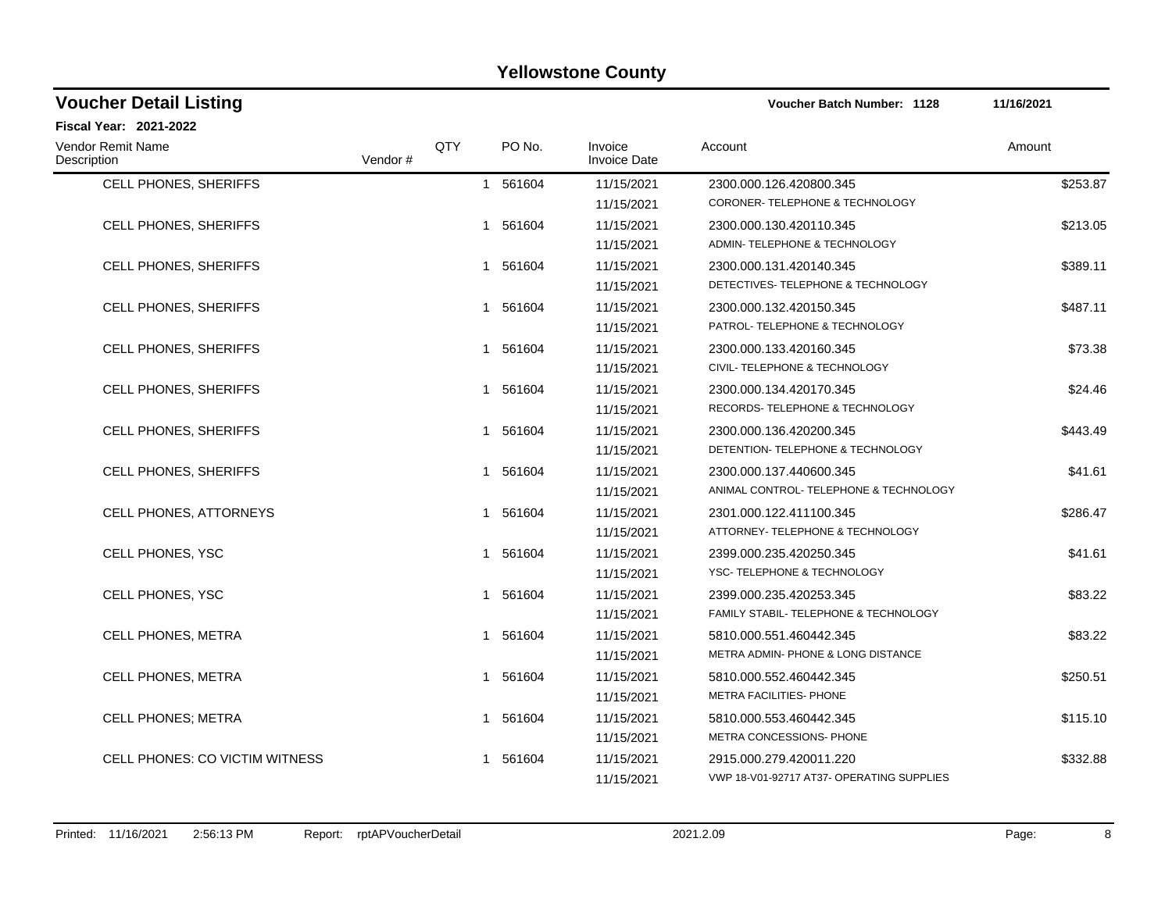| Voucher Detail Listing           |         |     |                        |                                | <b>Voucher Batch Number: 1128</b>         | 11/16/2021 |
|----------------------------------|---------|-----|------------------------|--------------------------------|-------------------------------------------|------------|
| Fiscal Year: 2021-2022           |         |     |                        |                                |                                           |            |
| Vendor Remit Name<br>Description | Vendor# | QTY | PO No.                 | Invoice<br><b>Invoice Date</b> | Account                                   | Amount     |
| CELL PHONES, SHERIFFS            |         |     | 1 561604               | 11/15/2021                     | 2300.000.126.420800.345                   | \$253.87   |
|                                  |         |     |                        | 11/15/2021                     | CORONER-TELEPHONE & TECHNOLOGY            |            |
| CELL PHONES, SHERIFFS            |         |     | 561604<br>1            | 11/15/2021                     | 2300.000.130.420110.345                   | \$213.05   |
|                                  |         |     |                        | 11/15/2021                     | ADMIN- TELEPHONE & TECHNOLOGY             |            |
| <b>CELL PHONES, SHERIFFS</b>     |         |     | 561604<br>$\mathbf 1$  | 11/15/2021                     | 2300.000.131.420140.345                   | \$389.11   |
|                                  |         |     |                        | 11/15/2021                     | DETECTIVES-TELEPHONE & TECHNOLOGY         |            |
| CELL PHONES, SHERIFFS            |         |     | 561604<br>1            | 11/15/2021                     | 2300.000.132.420150.345                   | \$487.11   |
|                                  |         |     |                        | 11/15/2021                     | PATROL- TELEPHONE & TECHNOLOGY            |            |
| CELL PHONES, SHERIFFS            |         |     | 1 561604               | 11/15/2021                     | 2300.000.133.420160.345                   | \$73.38    |
|                                  |         |     |                        | 11/15/2021                     | CIVIL- TELEPHONE & TECHNOLOGY             |            |
| CELL PHONES, SHERIFFS            |         |     | 561604<br>1            | 11/15/2021                     | 2300.000.134.420170.345                   | \$24.46    |
|                                  |         |     |                        | 11/15/2021                     | RECORDS- TELEPHONE & TECHNOLOGY           |            |
| CELL PHONES, SHERIFFS            |         |     | 1 561604               | 11/15/2021                     | 2300.000.136.420200.345                   | \$443.49   |
|                                  |         |     |                        | 11/15/2021                     | DETENTION-TELEPHONE & TECHNOLOGY          |            |
| CELL PHONES, SHERIFFS            |         |     | 561604<br>$\mathbf{1}$ | 11/15/2021                     | 2300.000.137.440600.345                   | \$41.61    |
|                                  |         |     |                        | 11/15/2021                     | ANIMAL CONTROL-TELEPHONE & TECHNOLOGY     |            |
| CELL PHONES, ATTORNEYS           |         |     | 1 561604               | 11/15/2021                     | 2301.000.122.411100.345                   | \$286.47   |
|                                  |         |     |                        | 11/15/2021                     | ATTORNEY- TELEPHONE & TECHNOLOGY          |            |
| <b>CELL PHONES, YSC</b>          |         |     | 561604<br>1            | 11/15/2021                     | 2399.000.235.420250.345                   | \$41.61    |
|                                  |         |     |                        | 11/15/2021                     | YSC-TELEPHONE & TECHNOLOGY                |            |
| CELL PHONES, YSC                 |         |     | 561604<br>1.           | 11/15/2021                     | 2399.000.235.420253.345                   | \$83.22    |
|                                  |         |     |                        | 11/15/2021                     | FAMILY STABIL- TELEPHONE & TECHNOLOGY     |            |
| CELL PHONES, METRA               |         |     | 1 561604               | 11/15/2021                     | 5810.000.551.460442.345                   | \$83.22    |
|                                  |         |     |                        | 11/15/2021                     | METRA ADMIN- PHONE & LONG DISTANCE        |            |
| CELL PHONES, METRA               |         |     | 561604<br>1            | 11/15/2021                     | 5810.000.552.460442.345                   | \$250.51   |
|                                  |         |     |                        | 11/15/2021                     | METRA FACILITIES- PHONE                   |            |
| <b>CELL PHONES: METRA</b>        |         |     | 561604<br>$\mathbf 1$  | 11/15/2021                     | 5810.000.553.460442.345                   | \$115.10   |
|                                  |         |     |                        | 11/15/2021                     | METRA CONCESSIONS- PHONE                  |            |
| CELL PHONES: CO VICTIM WITNESS   |         |     | 561604                 | 11/15/2021                     | 2915.000.279.420011.220                   | \$332.88   |
|                                  |         |     |                        | 11/15/2021                     | VWP 18-V01-92717 AT37- OPERATING SUPPLIES |            |